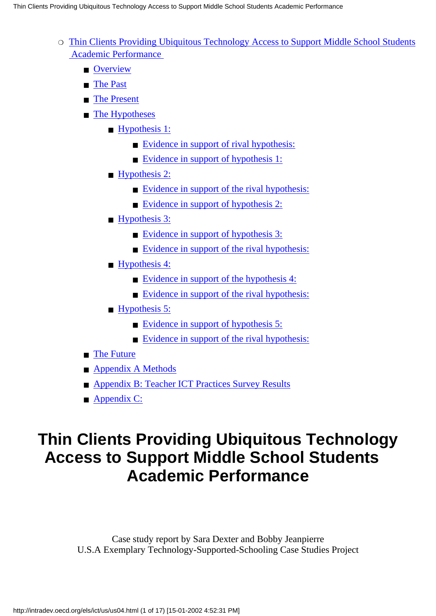- $\circ$  [Thin Clients Providing Ubiquitous Technology Access to Support Middle School Students](#page-0-0)  [Academic Performance](#page-0-0)
	- [Overview](#page-1-0)
	- [The Past](#page-2-0)
	- [The Present](#page-4-0)
	- [The Hypotheses](#page-6-0)
		- [Hypothesis 1:](#page-6-1)
			- [Evidence in support of rival hypothesis:](#page-6-2)
			- [Evidence in support of hypothesis 1:](#page-7-0)
		- [Hypothesis 2:](#page-7-1)
			- [Evidence in support of the rival hypothesis:](#page-7-2)
			- [Evidence in support of hypothesis 2:](#page-8-0)
		- [Hypothesis 3:](#page-9-0)
			- [Evidence in support of hypothesis 3:](#page-9-1)
			- [Evidence in support of the rival hypothesis:](#page-9-2)
		- [Hypothesis 4:](#page-9-3)
			- [Evidence in support of the hypothesis 4:](#page-10-0)
			- [Evidence in support of the rival hypothesis:](#page-10-1)
		- [Hypothesis 5:](#page-10-2)
			- [Evidence in support of hypothesis 5:](#page-10-3)
			- [Evidence in support of the rival hypothesis:](#page-11-0)
	- [The Future](#page-11-1)
	- [Appendix A Methods](#page-13-0)
	- [Appendix B: Teacher ICT Practices Survey Results](#page-14-0)
	- [Appendix C:](#page-16-0)

# <span id="page-0-0"></span>**Thin Clients Providing Ubiquitous Technology Access to Support Middle School Students Academic Performance**

Case study report by Sara Dexter and Bobby Jeanpierre U.S.A Exemplary Technology-Supported-Schooling Case Studies Project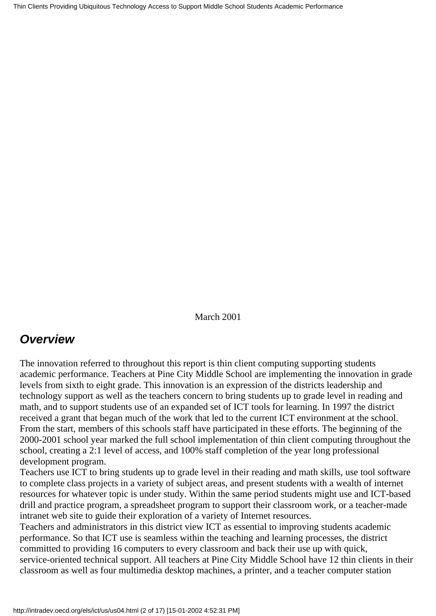Thin Clients Providing Ubiquitous Technology Access to Support Middle School Students Academic Performance

March 2001

## <span id="page-1-0"></span>*Overview*

The innovation referred to throughout this report is thin client computing supporting students academic performance. Teachers at Pine City Middle School are implementing the innovation in grade levels from sixth to eight grade. This innovation is an expression of the district s leadership and technology support as well as the teachers concern to bring students up to grade level in reading and math, and to support students use of an expanded set of ICT tools for learning. In 1997 the district received a grant that began much of the work that led to the current ICT environment at the school. From the start, members of this school s staff have participated in these efforts. The beginning of the 2000-2001 school year marked the full school implementation of thin client computing throughout the school, creating a 2:1 level of access, and 100% staff completion of the year long professional development program.

Teachers use ICT to bring students up to grade level in their reading and math skills, use tool software to complete class projects in a variety of subject areas, and present students with a wealth of internet resources for whatever topic is under study. Within the same period students might use and ICT-based drill and practice program, a spreadsheet program to support their classroom work, or a teacher-made intranet web site to guide their exploration of a variety of Internet resources.

Teachers and administrators in this district view ICT as essential to improving students academic performance. So that ICT use is seamless within the teaching and learning processes, the district committed to providing 16 computers to every classroom and back their use up with quick, service-oriented technical support. All teachers at Pine City Middle School have 12 thin clients in their classroom as well as four multimedia desktop machines, a printer, and a teacher computer station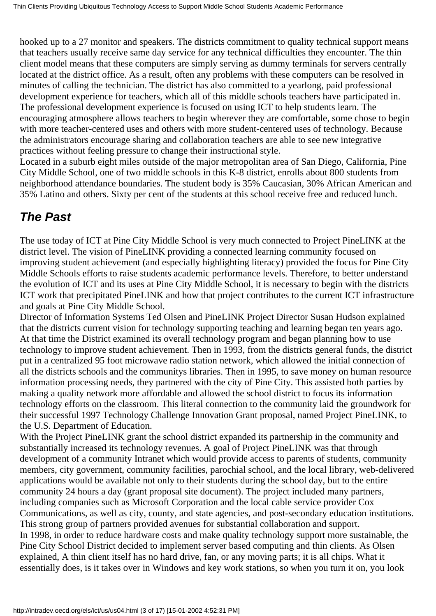hooked up to a 27 monitor and speakers. The district s commitment to quality technical support means that teachers usually receive same day service for any technical difficulties they encounter. The thin client model means that these computers are simply serving as dummy terminals for servers centrally located at the district office. As a result, often any problems with these computers can be resolved in minutes of calling the technician. The district has also committed to a yearlong, paid professional development experience for teachers, which all of this middle school s teachers have participated in. The professional development experience is focused on using ICT to help students learn. The encouraging atmosphere allows teachers to begin wherever they are comfortable, some chose to begin with more teacher-centered uses and others with more student-centered uses of technology. Because the administrators encourage sharing and collaboration teachers are able to see new integrative practices without feeling pressure to change their instructional style.

Located in a suburb eight miles outside of the major metropolitan area of San Diego, California, Pine City Middle School, one of two middle schools in this K-8 district, enrolls about 800 students from neighborhood attendance boundaries. The student body is 35% Caucasian, 30% African American and 35% Latino and others. Sixty per cent of the students at this school receive free and reduced lunch.

## <span id="page-2-0"></span>*The Past*

The use today of ICT at Pine City Middle School is very much connected to Project PineLINK at the district level. The vision of PineLINK providing a connected learning community focused on improving student achievement (and especially highlighting literacy) provided the focus for Pine City Middle Schools efforts to raise students academic performance levels. Therefore, to better understand the evolution of ICT and its uses at Pine City Middle School, it is necessary to begin with the district s ICT work that precipitated PineLINK and how that project contributes to the current ICT infrastructure and goals at Pine City Middle School.

Director of Information Systems Ted Olsen and PineLINK Project Director Susan Hudson explained that the district s current vision for technology supporting teaching and learning began ten years ago. At that time the District examined its overall technology program and began planning how to use technology to improve student achievement. Then in 1993, from the district s general funds, the district put in a centralized 95 foot microwave radio station network, which allowed the initial connection of all the district s schools and the community s libraries. Then in 1995, to save money on human resource information processing needs, they partnered with the city of Pine City. This assisted both parties by making a quality network more affordable and allowed the school district to focus its information technology efforts on the classroom. This literal connection to the community laid the groundwork for their successful 1997 Technology Challenge Innovation Grant proposal, named Project PineLINK, to the U.S. Department of Education.

With the Project PineLINK grant the school district expanded its partnership in the community and substantially increased its technology revenues. A goal of Project PineLINK was that through development of a community Intranet which would provide access to parents of students, community members, city government, community facilities, parochial school, and the local library, web-delivered applications would be available not only to their students during the school day, but to the entire community 24 hours a day (grant proposal site document). The project included many partners, including companies such as Microsoft Corporation and the local cable service provider Cox Communications, as well as city, county, and state agencies, and post-secondary education institutions. This strong group of partners provided avenues for substantial collaboration and support. In 1998, in order to reduce hardware costs and make quality technology support more sustainable, the Pine City School District decided to implement server based computing and thin clients. As Olsen explained, A thin client itself has no hard drive, fan, or any moving parts; it is all chips. What it essentially does, is it takes over in Windows and key work stations, so when you turn it on, you look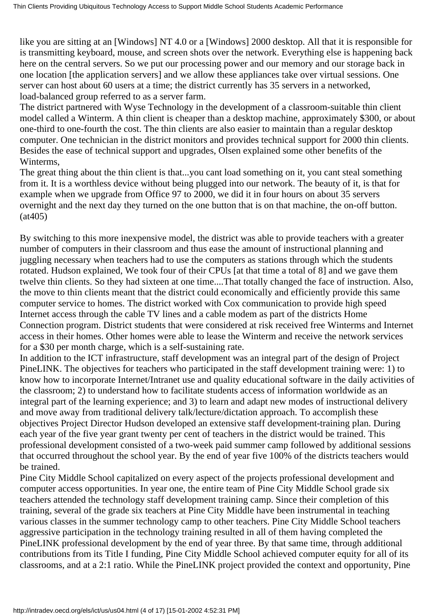like you are sitting at an [Windows] NT 4.0 or a [Windows] 2000 desktop. All that it is responsible for is transmitting keyboard, mouse, and screen shots over the network. Everything else is happening back here on the central servers. So we put our processing power and our memory and our storage back in one location [the application servers] and we allow these appliances take over virtual sessions. One server can host about 60 users at a time; the district currently has 35 servers in a networked, load-balanced group referred to as a server farm.

The district partnered with Wyse Technology in the development of a classroom-suitable thin client model called a Winterm. A thin client is cheaper than a desktop machine, approximately \$300, or about one-third to one-fourth the cost. The thin clients are also easier to maintain than a regular desktop computer. One technician in the district monitors and provides technical support for 2000 thin clients. Besides the ease of technical support and upgrades, Olsen explained some other benefits of the Winterms,

The great thing about the thin client is that...you can t load something on it, you can t steal something from it. It is a worthless device without being plugged into our network. The beauty of it, is that for example when we upgrade from Office 97 to 2000, we did it in four hours on about 35 servers overnight and the next day they turned on the one button that is on that machine, the on-off button. (at405)

By switching to this more inexpensive model, the district was able to provide teachers with a greater number of computers in their classroom and thus ease the amount of instructional planning and juggling necessary when teachers had to use the computers as stations through which the students rotated. Hudson explained, We took four of their CPUs [at that time a total of 8] and we gave them twelve thin clients. So they had sixteen at one time....That totally changed the face of instruction. Also, the move to thin clients meant that the district could economically and efficiently provide this same computer service to homes. The district worked with Cox communication to provide high speed Internet access through the cable TV lines and a cable modem as part of the district s Home Connection program. District students that were considered at risk received free Winterms and Internet access in their homes. Other homes were able to lease the Winterm and receive the network services for a \$30 per month charge, which is a self-sustaining rate.

In addition to the ICT infrastructure, staff development was an integral part of the design of Project PineLINK. The objectives for teachers who participated in the staff development training were: 1) to know how to incorporate Internet/Intranet use and quality educational software in the daily activities of the classroom; 2) to understand how to facilitate students access of information worldwide as an integral part of the learning experience; and 3) to learn and adapt new modes of instructional delivery and move away from traditional delivery talk/lecture/dictation approach. To accomplish these objectives Project Director Hudson developed an extensive staff development-training plan. During each year of the five year grant twenty per cent of teachers in the district would be trained. This professional development consisted of a two-week paid summer camp followed by additional sessions that occurred throughout the school year. By the end of year five 100% of the district s teachers would be trained.

Pine City Middle School capitalized on every aspect of the project s professional development and computer access opportunities. In year one, the entire team of Pine City Middle School grade six teachers attended the technology staff development training camp. Since their completion of this training, several of the grade six teachers at Pine City Middle have been instrumental in teaching various classes in the summer technology camp to other teachers. Pine City Middle School teachers aggressive participation in the technology training resulted in all of them having completed the PineLINK professional development by the end of year three. By that same time, through additional contributions from its Title I funding, Pine City Middle School achieved computer equity for all of its classrooms, and at a 2:1 ratio. While the PineLINK project provided the context and opportunity, Pine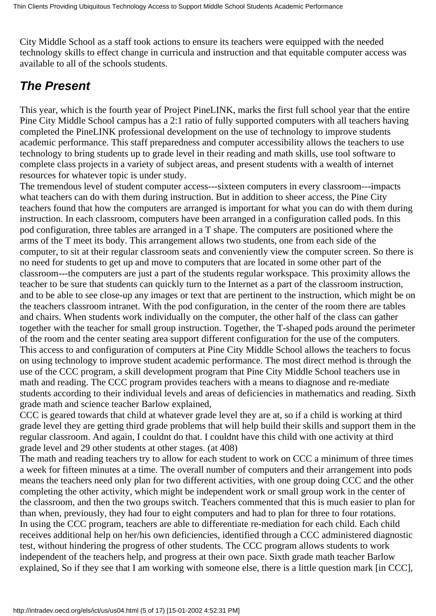City Middle School as a staff took actions to ensure its teachers were equipped with the needed technology skills to effect change in curricula and instruction and that equitable computer access was available to all of the school s students.

## <span id="page-4-0"></span>*The Present*

This year, which is the fourth year of Project PineLINK, marks the first full school year that the entire Pine City Middle School campus has a 2:1 ratio of fully supported computers with all teachers having completed the PineLINK professional development on the use of technology to improve students academic performance. This staff preparedness and computer accessibility allows the teachers to use technology to bring students up to grade level in their reading and math skills, use tool software to complete class projects in a variety of subject areas, and present students with a wealth of internet resources for whatever topic is under study.

The tremendous level of student computer access---sixteen computers in every classroom---impacts what teachers can do with them during instruction. But in addition to sheer access, the Pine City teachers found that how the computers are arranged is important for what you can do with them during instruction. In each classroom, computers have been arranged in a configuration called pods. In this pod configuration, three tables are arranged in a T shape. The computers are positioned where the arms of the T meet its body. This arrangement allows two students, one from each side of the computer, to sit at their regular classroom seats and conveniently view the computer screen. So there is no need for students to get up and move to computers that are located in some other part of the classroom---the computers are just a part of the students regular workspace. This proximity allows the teacher to be sure that students can quickly turn to the Internet as a part of the classroom instruction, and to be able to see close-up any images or text that are pertinent to the instruction, which might be on the teachers classroom intranet. With the pod configuration, in the center of the room there are tables and chairs. When students work individually on the computer, the other half of the class can gather together with the teacher for small group instruction. Together, the T-shaped pods around the perimeter of the room and the center seating area support different configuration for the use of the computers. This access to and configuration of computers at Pine City Middle School allows the teachers to focus on using technology to improve student academic performance. The most direct method is through the use of the CCC program, a skill development program that Pine City Middle School teachers use in math and reading. The CCC program provides teachers with a means to diagnose and re-mediate students according to their individual levels and areas of deficiencies in mathematics and reading. Sixth grade math and science teacher Barlow explained,

CCC is geared towards that child at whatever grade level they are at, so if a child is working at third grade level they are getting third grade problems that will help build their skills and support them in the regular classroom. And again, I couldn t do that. I couldn t have this child with one activity at third grade level and 29 other students at other stages. (at 408)

The math and reading teachers try to allow for each student to work on CCC a minimum of three times a week for fifteen minutes at a time. The overall number of computers and their arrangement into pods means the teachers need only plan for two different activities, with one group doing CCC and the other completing the other activity, which might be independent work or small group work in the center of the classroom, and then the two groups switch. Teachers commented that this is much easier to plan for than when, previously, they had four to eight computers and had to plan for three to four rotations. In using the CCC program, teachers are able to differentiate re-mediation for each child. Each child receives additional help on her/his own deficiencies, identified through a CCC administered diagnostic test, without hindering the progress of other students. The CCC program allows students to work independent of the teacher s help, and progress at their own pace. Sixth grade math teacher Barlow explained, So if they see that I am working with someone else, there is a little question mark [in CCC],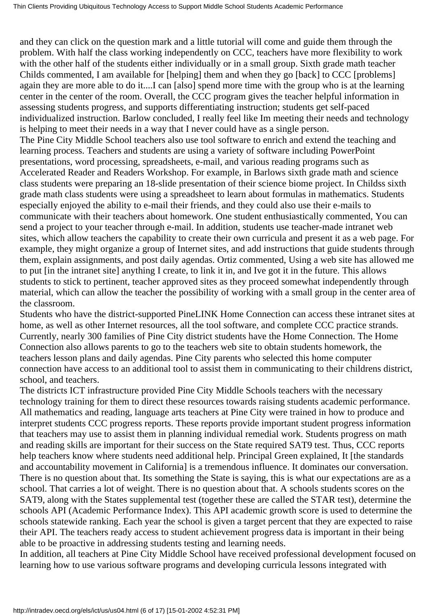and they can click on the question mark and a little tutorial will come and guide them through the problem. With half the class working independently on CCC, teachers have more flexibility to work with the other half of the students either individually or in a small group. Sixth grade math teacher Childs commented, I am available for [helping] them and when they go [back] to CCC [problems] again they are more able to do it....I can [also] spend more time with the group who is at the learning center in the center of the room. Overall, the CCC program gives the teacher helpful information in assessing students progress, and supports differentiating instruction; students get self-paced individualized instruction. Barlow concluded, I really feel like I m meeting their needs and technology is helping to meet their needs in a way that I never could have as a single person. The Pine City Middle School teachers also use tool software to enrich and extend the teaching and learning process. Teachers and students are using a variety of software including PowerPoint presentations, word processing, spreadsheets, e-mail, and various reading programs such as Accelerated Reader and Readers Workshop. For example, in Barlow s sixth grade math and science class students were preparing an 18-slide presentation of their science biome project. In Childs s sixth grade math class students were using a spreadsheet to learn about formulas in mathematics. Students especially enjoyed the ability to e-mail their friends, and they could also use their e-mails to communicate with their teachers about homework. One student enthusiastically commented, You can send a project to your teacher through e-mail. In addition, students use teacher-made intranet web sites, which allow teachers the capability to create their own curricula and present it as a web page. For example, they might organize a group of Internet sites, and add instructions that guide students through them, explain assignments, and post daily agendas. Ortiz commented, Using a web site has allowed me to put [in the intranet site] anything I create, to link it in, and Ive got it in the future. This allows students to stick to pertinent, teacher approved sites as they proceed somewhat independently through material, which can allow the teacher the possibility of working with a small group in the center area of the classroom.

Students who have the district-supported PineLINK Home Connection can access these intranet sites at home, as well as other Internet resources, all the tool software, and complete CCC practice strands. Currently, nearly 300 families of Pine City district students have the Home Connection. The Home Connection also allows parents to go to the teacher s web site to obtain students homework, the teachers lesson plans and daily agendas. Pine City parents who selected this home computer connection have access to an additional tool to assist them in communicating to their children s district, school, and teachers.

The district s ICT infrastructure provided Pine City Middle School s teachers with the necessary technology training for them to direct these resources towards raising students academic performance. All mathematics and reading, language arts teachers at Pine City were trained in how to produce and interpret students CCC progress reports. These reports provide important student progress information that teachers may use to assist them in planning individual remedial work. Students progress on math and reading skills are important for their success on the State required SAT9 test. Thus, CCC reports help teachers know where students need additional help. Principal Green explained, It [the standards and accountability movement in California] is a tremendous influence. It dominates our conversation. There is no question about that. It s something the State is saying, this is what our expectations are as a school. That carries a lot of weight. There is no question about that. A school s students scores on the SAT9, along with the State s supplemental test (together these are called the STAR test), determine the schools API (Academic Performance Index). This API academic growth score is used to determine the school s statewide ranking. Each year the school is given a target percent that they are expected to raise their API. The teachers ready access to student achievement progress data is important in their being able to be proactive in addressing students testing and learning needs.

In addition, all teachers at Pine City Middle School have received professional development focused on learning how to use various software programs and developing curricula lessons integrated with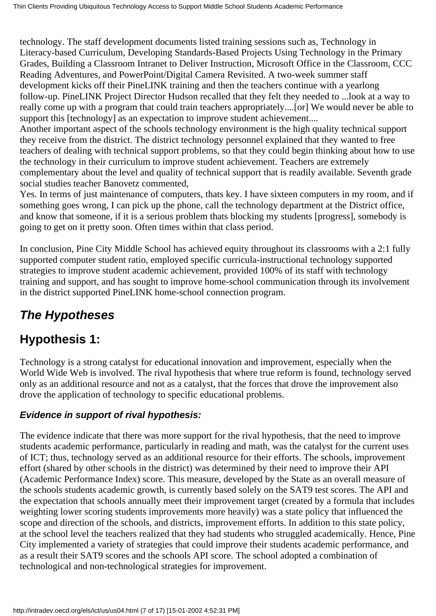technology. The staff development documents listed training sessions such as, Technology in Literacy-based Curriculum, Developing Standards-Based Projects Using Technology in the Primary Grades, Building a Classroom Intranet to Deliver Instruction, Microsoft Office in the Classroom, CCC Reading Adventures, and PowerPoint/Digital Camera Revisited. A two-week summer staff development kicks off their PineLINK training and then the teachers continue with a yearlong follow-up. PineLINK Project Director Hudson recalled that they felt they needed to ...look at a way to really come up with a program that could train teachers appropriately....[or] We would never be able to support this [technology] as an expectation to improve student achievement....

Another important aspect of the school s technology environment is the high quality technical support they receive from the district. The district technology personnel explained that they wanted to free teachers of dealing with technical support problems, so that they could begin thinking about how to use the technology in their curriculum to improve student achievement. Teachers are extremely complementary about the level and quality of technical support that is readily available. Seventh grade social studies teacher Banovetz commented,

Yes. In terms of just maintenance of computers, that s key. I have sixteen computers in my room, and if something goes wrong, I can pick up the phone, call the technology department at the District office, and know that someone, if it is a serious problem that s blocking my students [progress], somebody is going to get on it pretty soon. Often times within that class period.

In conclusion, Pine City Middle School has achieved equity throughout its classrooms with a 2:1 fully supported computer student ratio, employed specific curricula-instructional technology supported strategies to improve student academic achievement, provided 100% of its staff with technology training and support, and has sought to improve home-school communication through its involvement in the district supported PineLINK home-school connection program.

# <span id="page-6-0"></span>*The Hypotheses*

## <span id="page-6-1"></span>**Hypothesis 1:**

Technology is a strong catalyst for educational innovation and improvement, especially when the World Wide Web is involved. The rival hypothesis that where true reform is found, technology served only as an additional resource and not as a catalyst, that the forces that drove the improvement also drove the application of technology to specific educational problems.

## <span id="page-6-2"></span>**Evidence in support of rival hypothesis:**

The evidence indicate that there was more support for the rival hypothesis, that the need to improve students academic performance, particularly in reading and math, was the catalyst for the current uses of ICT; thus, technology served as an additional resource for their efforts. The schools, improvement effort (shared by other schools in the district) was determined by their need to improve their API (Academic Performance Index) score. This measure, developed by the State as an overall measure of the school s students academic growth, is currently based solely on the SAT9 test scores. The API and the expectation that schools annually meet their improvement target (created by a formula that includes weighting lower scoring students improvements more heavily) was a state policy that influenced the scope and direction of the schools, and districts, improvement efforts. In addition to this state policy, at the school level the teachers realized that they had students who struggled academically. Hence, Pine City implemented a variety of strategies that could improve their students academic performance, and as a result their SAT9 scores and the school s API score. The school adopted a combination of technological and non-technological strategies for improvement.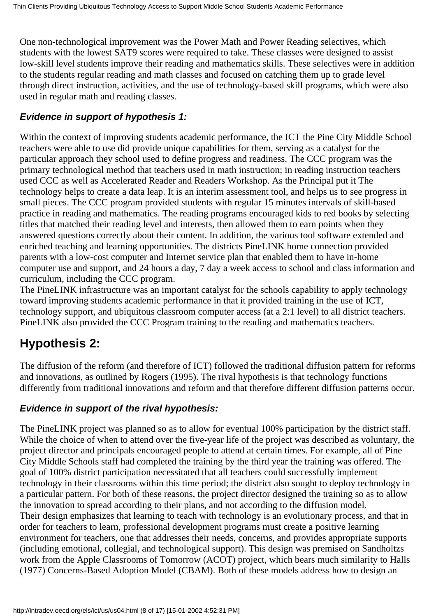One non-technological improvement was the Power Math and Power Reading selectives, which students with the lowest SAT9 scores were required to take. These classes were designed to assist low-skill level students improve their reading and mathematics skills. These selectives were in addition to the students regular reading and math classes and focused on catching them up to grade level through direct instruction, activities, and the use of technology-based skill programs, which were also used in regular math and reading classes.

### <span id="page-7-0"></span>**Evidence in support of hypothesis 1:**

Within the context of improving students academic performance, the ICT the Pine City Middle School teachers were able to use did provide unique capabilities for them, serving as a catalyst for the particular approach they school used to define progress and readiness. The CCC program was the primary technological method that teachers used in math instruction; in reading instruction teachers used CCC as well as Accelerated Reader and Readers Workshop. As the Principal put it The technology helps to create a data leap. It is an interim assessment tool, and helps us to see progress in small pieces. The CCC program provided students with regular 15 minutes intervals of skill-based practice in reading and mathematics. The reading programs encouraged kids to red books by selecting titles that matched their reading level and interests, then allowed them to earn points when they answered questions correctly about their content. In addition, the various tool software extended and enriched teaching and learning opportunities. The district s PineLINK home connection provided parents with a low-cost computer and Internet service plan that enabled them to have in-home computer use and support, and 24 hours a day, 7 day a week access to school and class information and curriculum, including the CCC program.

The PineLINK infrastructure was an important catalyst for the school s capability to apply technology toward improving students academic performance in that it provided training in the use of ICT, technology support, and ubiquitous classroom computer access (at a 2:1 level) to all district teachers. PineLINK also provided the CCC Program training to the reading and mathematics teachers.

# <span id="page-7-1"></span>**Hypothesis 2:**

The diffusion of the reform (and therefore of ICT) followed the traditional diffusion pattern for reforms and innovations, as outlined by Rogers (1995). The rival hypothesis is that technology functions differently from traditional innovations and reform and that therefore different diffusion patterns occur.

### <span id="page-7-2"></span>**Evidence in support of the rival hypothesis:**

The PineLINK project was planned so as to allow for eventual 100% participation by the district staff. While the choice of when to attend over the five-year life of the project was described as voluntary, the project director and principals encouraged people to attend at certain times. For example, all of Pine City Middle Schools staff had completed the training by the third year the training was offered. The goal of 100% district participation necessitated that all teachers could successfully implement technology in their classrooms within this time period; the district also sought to deploy technology in a particular pattern. For both of these reasons, the project director designed the training so as to allow the innovation to spread according to their plans, and not according to the diffusion model. Their design emphasizes that learning to teach with technology is an evolutionary process, and that in order for teachers to learn, professional development programs must create a positive learning environment for teachers, one that addresses their needs, concerns, and provides appropriate supports (including emotional, collegial, and technological support). This design was premised on Sandholtzs work from the Apple Classrooms of Tomorrow (ACOT) project, which bears much similarity to Hall s (1977) Concerns-Based Adoption Model (CBAM). Both of these models address how to design an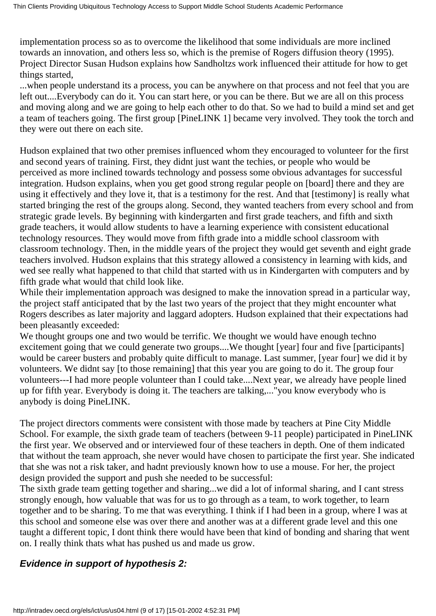implementation process so as to overcome the likelihood that some individuals are more inclined towards an innovation, and others less so, which is the premise of Roger s diffusion theory (1995). Project Director Susan Hudson explains how Sandholtz s work influenced their attitude for how to get things started,

...when people understand it s a process, you can be anywhere on that process and not feel that you are left out....Everybody can do it. You can start here, or you can be there. But we are all on this process and moving along and we are going to help each other to do that. So we had to build a mind set and get a team of teachers going. The first group [PineLINK 1] became very involved. They took the torch and they were out there on each site.

Hudson explained that two other premises influenced whom they encouraged to volunteer for the first and second years of training. First, they didn t just want the techies, or people who would be perceived as more inclined towards technology and possess some obvious advantages for successful integration. Hudson explains, when you get good strong regular people on [board] there and they are using it effectively and they love it, that is a testimony for the rest. And that [testimony] is really what started bringing the rest of the groups along. Second, they wanted teachers from every school and from strategic grade levels. By beginning with kindergarten and first grade teachers, and fifth and sixth grade teachers, it would allow students to have a learning experience with consistent educational technology resources. They would move from fifth grade into a middle school classroom with classroom technology. Then, in the middle years of the project they would get seventh and eight grade teachers involved. Hudson explains that this strategy allowed a consistency in learning with kids, and wed see really what happened to that child that started with us in Kindergarten with computers and by fifth grade what would that child look like.

While their implementation approach was designed to make the innovation spread in a particular way, the project staff anticipated that by the last two years of the project that they might encounter what Rogers describes as later majority and laggard adopters. Hudson explained that their expectations had been pleasantly exceeded:

We thought groups one and two would be terrific. We thought we would have enough techno excitement going that we could generate two groups....We thought [year] four and five [participants] would be career busters and probably quite difficult to manage. Last summer, [year four] we did it by volunteers. We didn t say [to those remaining] that this year you are going to do it. The group four volunteers---I had more people volunteer than I could take....Next year, we already have people lined up for fifth year. Everybody is doing it. The teachers are talking,..."you know everybody who is anybody is doing PineLINK.

The project director s comments were consistent with those made by teachers at Pine City Middle School. For example, the sixth grade team of teachers (between 9-11 people) participated in PineLINK the first year. We observed and or interviewed four of these teachers in depth. One of them indicated that without the team approach, she never would have chosen to participate the first year. She indicated that she was not a risk taker, and hadnt previously known how to use a mouse. For her, the project design provided the support and push she needed to be successful:

The sixth grade team getting together and sharing...we did a lot of informal sharing, and I cant stress strongly enough, how valuable that was for us to go through as a team, to work together, to learn together and to be sharing. To me that was everything. I think if I had been in a group, where I was at this school and someone else was over there and another was at a different grade level and this one taught a different topic. I don t think there would have been that kind of bonding and sharing that went on. I really think that s what has pushed us and made us grow.

#### <span id="page-8-0"></span>**Evidence in support of hypothesis 2:**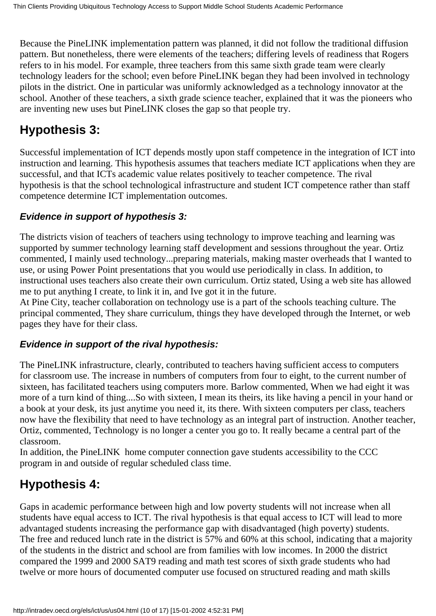Because the PineLINK implementation pattern was planned, it did not follow the traditional diffusion pattern. But nonetheless, there were elements of the teachers; differing levels of readiness that Rogers refers to in his model. For example, three teachers from this same sixth grade team were clearly technology leaders for the school; even before PineLINK began they had been involved in technology pilots in the district. One in particular was uniformly acknowledged as a technology innovator at the school. Another of these teachers, a sixth grade science teacher, explained that it was the pioneers who are inventing new uses but PineLINK closes the gap so that people try.

# <span id="page-9-0"></span>**Hypothesis 3:**

Successful implementation of ICT depends mostly upon staff competence in the integration of ICT into instruction and learning. This hypothesis assumes that teachers mediate ICT applications when they are successful, and that ICT s academic value relates positively to teacher competence. The rival hypothesis is that the school technological infrastructure and student ICT competence rather than staff competence determine ICT implementation outcomes.

### <span id="page-9-1"></span>**Evidence in support of hypothesis 3:**

The district s vision of teachers of teachers using technology to improve teaching and learning was supported by summer technology learning staff development and sessions throughout the year. Ortiz commented, I mainly used technology...preparing materials, making master overheads that I wanted to use, or using Power Point presentations that you would use periodically in class. In addition, to instructional uses teachers also create their own curriculum. Ortiz stated, Using a web site has allowed me to put anything I create, to link it in, and Ive got it in the future.

At Pine City, teacher collaboration on technology use is a part of the school s teaching culture. The principal commented, They share curriculum, things they have developed through the Internet, or web pages they have for their class.

### <span id="page-9-2"></span>**Evidence in support of the rival hypothesis:**

The PineLINK infrastructure, clearly, contributed to teachers having sufficient access to computers for classroom use. The increase in numbers of computers from four to eight, to the current number of sixteen, has facilitated teachers using computers more. Barlow commented, When we had eight it was more of a turn kind of thing....So with sixteen, I mean its theirs, it s like having a pencil in your hand or a book at your desk, it s just anytime you need it, it s there. With sixteen computers per class, teachers now have the flexibility that need to have technology as an integral part of instruction. Another teacher, Ortiz, commented, Technology is no longer a center you go to. It really became a central part of the classroom.

In addition, the PineLINK home computer connection gave students accessibility to the CCC program in and outside of regular scheduled class time.

# <span id="page-9-3"></span>**Hypothesis 4:**

Gaps in academic performance between high and low poverty students will not increase when all students have equal access to ICT. The rival hypothesis is that equal access to ICT will lead to more advantaged students increasing the performance gap with disadvantaged (high poverty) students. The free and reduced lunch rate in the district is 57% and 60% at this school, indicating that a majority of the students in the district and school are from families with low incomes. In 2000 the district compared the 1999 and 2000 SAT9 reading and math test scores of sixth grade students who had twelve or more hours of documented computer use focused on structured reading and math skills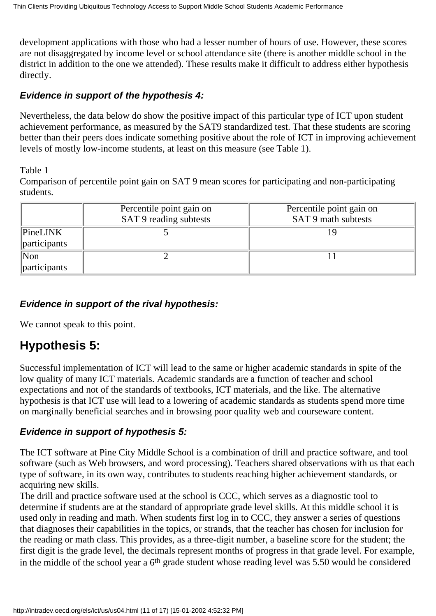development applications with those who had a lesser number of hours of use. However, these scores are not disaggregated by income level or school attendance site (there is another middle school in the district in addition to the one we attended). These results make it difficult to address either hypothesis directly.

### <span id="page-10-0"></span>**Evidence in support of the hypothesis 4:**

Nevertheless, the data below do show the positive impact of this particular type of ICT upon student achievement performance, as measured by the SAT9 standardized test. That these students are scoring better than their peers does indicate something positive about the role of ICT in improving achievement levels of mostly low-income students, at least on this measure (see Table 1).

#### Table 1

Comparison of percentile point gain on SAT 9 mean scores for participating and non-participating students.

|                                          | Percentile point gain on<br>SAT 9 reading subtests | Percentile point gain on<br>SAT 9 math subtests |
|------------------------------------------|----------------------------------------------------|-------------------------------------------------|
| PineLINK<br>participants                 |                                                    |                                                 |
| $\sqrt{\text{Non}}$<br>$\ $ participants |                                                    |                                                 |

### <span id="page-10-1"></span>**Evidence in support of the rival hypothesis:**

We cannot speak to this point.

## <span id="page-10-2"></span>**Hypothesis 5:**

Successful implementation of ICT will lead to the same or higher academic standards in spite of the low quality of many ICT materials. Academic standards are a function of teacher and school expectations and not of the standards of textbooks, ICT materials, and the like. The alternative hypothesis is that ICT use will lead to a lowering of academic standards as students spend more time on marginally beneficial searches and in browsing poor quality web and courseware content.

### <span id="page-10-3"></span>**Evidence in support of hypothesis 5:**

The ICT software at Pine City Middle School is a combination of drill and practice software, and tool software (such as Web browsers, and word processing). Teachers shared observations with us that each type of software, in its own way, contributes to students reaching higher achievement standards, or acquiring new skills.

The drill and practice software used at the school is CCC, which serves as a diagnostic tool to determine if students are at the standard of appropriate grade level skills. At this middle school it is used only in reading and math. When students first log in to CCC, they answer a series of questions that diagnoses their capabilities in the topics, or strands, that the teacher has chosen for inclusion for the reading or math class. This provides, as a three-digit number, a baseline score for the student; the first digit is the grade level, the decimals represent months of progress in that grade level. For example, in the middle of the school year a 6<sup>th</sup> grade student whose reading level was 5.50 would be considered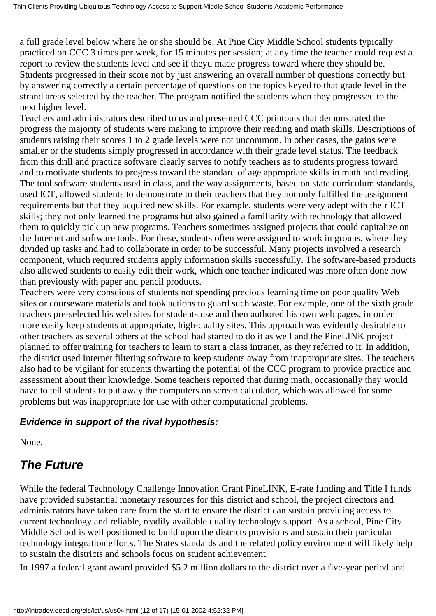a full grade level below where he or she should be. At Pine City Middle School students typically practiced on CCC 3 times per week, for 15 minutes per session; at any time the teacher could request a report to review the student s level and see if they d made progress toward where they should be. Students progressed in their score not by just answering an overall number of questions correctly but by answering correctly a certain percentage of questions on the topics keyed to that grade level in the strand areas selected by the teacher. The program notified the students when they progressed to the next higher level.

Teachers and administrators described to us and presented CCC printouts that demonstrated the progress the majority of students were making to improve their reading and math skills. Descriptions of students raising their scores 1 to 2 grade levels were not uncommon. In other cases, the gains were smaller or the students simply progressed in accordance with their grade level status. The feedback from this drill and practice software clearly serves to notify teachers as to students progress toward and to motivate students to progress toward the standard of age appropriate skills in math and reading. The tool software students used in class, and the way assignments, based on state curriculum standards, used ICT, allowed students to demonstrate to their teachers that they not only fulfilled the assignment requirements but that they acquired new skills. For example, students were very adept with their ICT skills; they not only learned the programs but also gained a familiarity with technology that allowed them to quickly pick up new programs. Teachers sometimes assigned projects that could capitalize on the Internet and software tools. For these, students often were assigned to work in groups, where they divided up tasks and had to collaborate in order to be successful. Many projects involved a research component, which required students apply information skills successfully. The software-based products also allowed students to easily edit their work, which one teacher indicated was more often done now than previously with paper and pencil products.

Teachers were very conscious of students not spending precious learning time on poor quality Web sites or courseware materials and took actions to guard such waste. For example, one of the sixth grade teachers pre-selected his web sites for students use and then authored his own web pages, in order more easily keep students at appropriate, high-quality sites. This approach was evidently desirable to other teachers as several others at the school had started to do it as well and the PineLINK project planned to offer training for teachers to learn to start a class intranet, as they referred to it. In addition, the district used Internet filtering software to keep students away from inappropriate sites. The teachers also had to be vigilant for students thwarting the potential of the CCC program to provide practice and assessment about their knowledge. Some teachers reported that during math, occasionally they would have to tell students to put away the computer s on screen calculator, which was allowed for some problems but was inappropriate for use with other computational problems.

### <span id="page-11-0"></span>**Evidence in support of the rival hypothesis:**

None.

# <span id="page-11-1"></span>*The Future*

While the federal Technology Challenge Innovation Grant PineLINK, E-rate funding and Title I funds have provided substantial monetary resources for this district and school, the project directors and administrators have taken care from the start to ensure the district can sustain providing access to current technology and reliable, readily available quality technology support. As a school, Pine City Middle School is well positioned to build upon the district s provisions and sustain their particular technology integration efforts. The State s standards and the related policy environment will likely help to sustain the district s and school s focus on student achievement.

In 1997 a federal grant award provided \$5.2 million dollars to the district over a five-year period and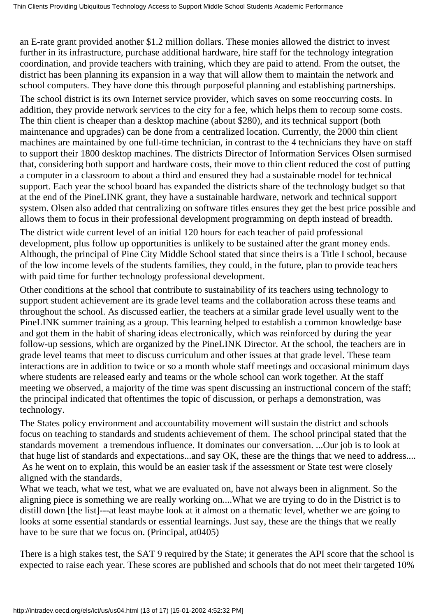an E-rate grant provided another \$1.2 million dollars. These monies allowed the district to invest further in its infrastructure, purchase additional hardware, hire staff for the technology integration coordination, and provide teachers with training, which they are paid to attend. From the outset, the district has been planning its expansion in a way that will allow them to maintain the network and school computers. They have done this through purposeful planning and establishing partnerships.

The school district is its own Internet service provider, which saves on some reoccurring costs. In addition, they provide network services to the city for a fee, which helps them to recoup some costs. The thin client is cheaper than a desktop machine (about \$280), and its technical support (both maintenance and upgrades) can be done from a centralized location. Currently, the 2000 thin client machines are maintained by one full-time technician, in contrast to the 4 technicians they have on staff to support their 1800 desktop machines. The district s Director of Information Services Olsen surmised that, considering both support and hardware costs, their move to thin client reduced the cost of putting a computer in a classroom to about a third and ensured they had a sustainable model for technical support. Each year the school board has expanded the district s share of the technology budget so that at the end of the PineLINK grant, they have a sustainable hardware, network and technical support system. Olsen also added that centralizing on software titles ensures they get the best price possible and allows them to focus in their professional development programming on depth instead of breadth.

The district wide current level of an initial 120 hours for each teacher of paid professional development, plus follow up opportunities is unlikely to be sustained after the grant money ends. Although, the principal of Pine City Middle School stated that since theirs is a Title I school, because of the low income levels of the students families, they could, in the future, plan to provide teachers with paid time for further technology professional development.

Other conditions at the school that contribute to sustainability of its teachers using technology to support student achievement are its grade level teams and the collaboration across these teams and throughout the school. As discussed earlier, the teachers at a similar grade level usually went to the PineLINK summer training as a group. This learning helped to establish a common knowledge base and got them in the habit of sharing ideas electronically, which was reinforced by during the year follow-up sessions, which are organized by the PineLINK Director. At the school, the teachers are in grade level teams that meet to discuss curriculum and other issues at that grade level. These team interactions are in addition to twice or so a month whole staff meetings and occasional minimum days where students are released early and teams or the whole school can work together. At the staff meeting we observed, a majority of the time was spent discussing an instructional concern of the staff; the principal indicated that oftentimes the topic of discussion, or perhaps a demonstration, was technology.

The State s policy environment and accountability movement will sustain the district and school s focus on teaching to standards and students achievement of them. The school principal stated that the standards movement a tremendous influence. It dominates our conversation. ...Our job is to look at that huge list of standards and expectations...and say OK, these are the things that we need to address....

 As he went on to explain, this would be an easier task if the assessment or State test were closely aligned with the standards,

What we teach, what we test, what we are evaluated on, have not always been in alignment. So the aligning piece is something we are really working on....What we are trying to do in the District is to distill down [the list]---at least maybe look at it almost on a thematic level, whether we are going to looks at some essential standards or essential learnings. Just say, these are the things that we really have to be sure that we focus on. (Principal, at0405)

There is a high stakes test, the SAT 9 required by the State; it generates the API score that the school is expected to raise each year. These scores are published and schools that do not meet their targeted 10%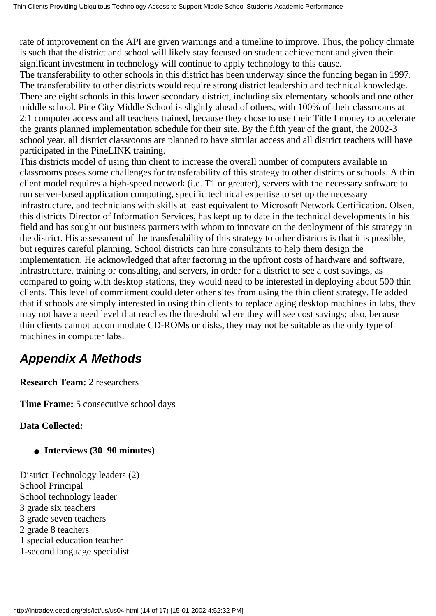rate of improvement on the API are given warnings and a timeline to improve. Thus, the policy climate is such that the district and school will likely stay focused on student achievement and given their significant investment in technology will continue to apply technology to this cause.

The transferability to other schools in this district has been underway since the funding began in 1997. The transferability to other districts would require strong district leadership and technical knowledge. There are eight schools in this lower secondary district, including six elementary schools and one other middle school. Pine City Middle School is slightly ahead of others, with 100% of their classrooms at 2:1 computer access and all teachers trained, because they chose to use their Title I money to accelerate the grant s planned implementation schedule for their site. By the fifth year of the grant, the 2002-3 school year, all district classrooms are planned to have similar access and all district teachers will have participated in the PineLINK training.

This district s model of using thin client to increase the overall number of computers available in classrooms poses some challenges for transferability of this strategy to other districts or schools. A thin client model requires a high-speed network (i.e. T1 or greater), servers with the necessary software to run server-based application computing, specific technical expertise to set up the necessary infrastructure, and technicians with skills at least equivalent to Microsoft Network Certification. Olsen, this district s Director of Information Services, has kept up to date in the technical developments in his field and has sought out business partners with whom to innovate on the deployment of this strategy in the district. His assessment of the transferability of this strategy to other districts is that it is possible, but requires careful planning. School districts can hire consultants to help them design the implementation. He acknowledged that after factoring in the upfront costs of hardware and software, infrastructure, training or consulting, and servers, in order for a district to see a cost savings, as compared to going with desktop stations, they would need to be interested in deploying about 500 thin clients. This level of commitment could deter other sites from using the thin client strategy. He added that if schools are simply interested in using thin clients to replace aging desktop machines in labs, they may not have a need level that reaches the threshold where they will see cost savings; also, because thin clients cannot accommodate CD-ROMs or disks, they may not be suitable as the only type of machines in computer labs.

## <span id="page-13-0"></span>*Appendix A Methods*

**Research Team: 2 researchers** 

**Time Frame:** 5 consecutive school days

**Data Collected:**

- **Interviews (30 90 minutes)**
- District Technology leaders (2) School Principal School technology leader 3 grade six teachers 3 grade seven teachers 2 grade 8 teachers 1 special education teacher 1-second language specialist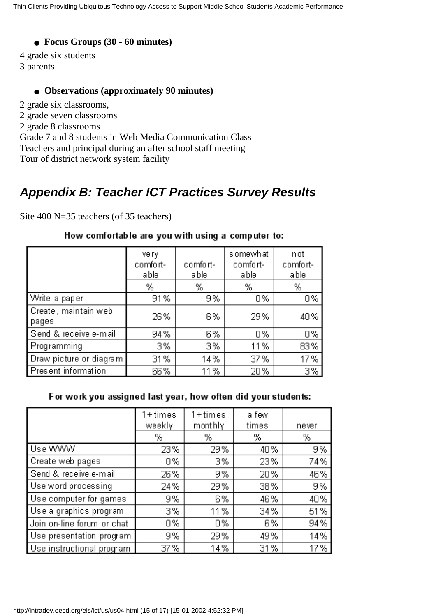#### ● **Focus Groups (30 - 60 minutes)**

4 grade six students

3 parents

#### ● **Observations (approximately 90 minutes)**

2 grade six classrooms,

- 2 grade seven classrooms
- 2 grade 8 classrooms

Grade 7 and 8 students in Web Media Communication Class

Teachers and principal during an after school staff meeting

Tour of district network system facility

## <span id="page-14-0"></span>*Appendix B: Teacher ICT Practices Survey Results*

Site 400 N=35 teachers (of 35 teachers)

|                                  | very<br>comfort-<br>able<br>% | comfort-<br>able<br>% | somewhat<br>comfort-<br>able<br>% | not<br>comfort-<br>able<br>% |
|----------------------------------|-------------------------------|-----------------------|-----------------------------------|------------------------------|
|                                  |                               |                       |                                   |                              |
| Write a paper                    | 91%                           | 9%                    | 0%                                | 0%                           |
| Create , maintain web<br>  pages | 26%                           | 6%                    | 29%                               | 40%                          |
| Send & receive e-mail            | 94%                           | 6%                    | 0%                                | 0%                           |
| Programming                      | 3%                            | 3%                    | 11%                               | 83%                          |
| Draw picture or diagram          | 31%                           | 14%                   | 37%                               | 17%                          |
| Present information              | 66%                           | 11%                   | 20%                               | 3%                           |

#### How comfortable are you with using a computer to:

#### For work you assigned last year, how often did your students:

|                            | $1 + times$<br>weekly | $1 + times$<br>mont hly | a few<br>times | never |
|----------------------------|-----------------------|-------------------------|----------------|-------|
|                            | %                     | %                       | %              | %     |
| Use WWW                    | 23%                   | 29%                     | 40%            | 9%    |
| Create web pages           | 0%                    | 3%                      | 23%            | 74%   |
| Send & receive e-mail      | 26%                   | 9%                      | 20%            | 46%   |
| Use word processing        | 24%                   | 29%                     | 38%            | 9%    |
| Use computer for games     | 9%                    | 6%                      | 46%            | 40%   |
| Use a graphics program     | 3%                    | 11%                     | 34%            | 51%   |
| Join on-line forum or chat | 0%                    | 0%                      | 6%             | 94%   |
| Use presentation program   | 9%                    | 29%                     | 49%            | 14%   |
| Use instructional program  | 37 %                  | 14%                     | 31%            | 17%   |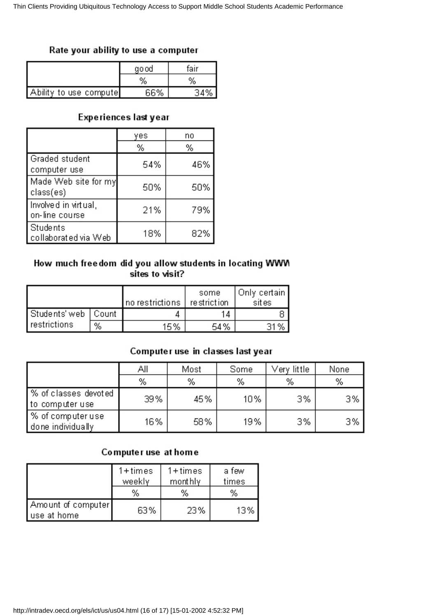#### Rate your ability to use a computer

|                        | go od | fair |  |
|------------------------|-------|------|--|
|                        | %     | %    |  |
| Ability to use compute | 66%   |      |  |

#### Experiences last year

|                                        | γes | no  |
|----------------------------------------|-----|-----|
|                                        | %   | %   |
| Graded student<br>computer use         | 54% | 46% |
| Made Web site for my<br>class(es)      | 50% | 50% |
| Involved in virtual,<br>on-line course | 21% | 79% |
| Students<br>collaborated via Web       | 18% | 82% |

#### How much freedom did you allow students in locating WWM sites to visit?

|                       |   | no restrictions | some<br>restriction | Only certain  <br>sites |
|-----------------------|---|-----------------|---------------------|-------------------------|
| Students' web   Count |   |                 |                     |                         |
| restrictions          | % | 15%             | 54%                 | 31%                     |

### Computer use in classes last year

|                                          | Αll | Most | Some | Very little: | None |
|------------------------------------------|-----|------|------|--------------|------|
|                                          | %   | %    | %    | %            | %    |
| ∤% of classes devoted<br>to computer use | 39% | 45%  | 10%  | 3%           | 3%   |
| ∣% of computer use<br>done individually  | 16% | 58%  | 19%  | 3%           | 3%   |

#### Computer use at home

|                                    | $1 + times$ | $1 + times$ | a few |
|------------------------------------|-------------|-------------|-------|
|                                    | weekly      | monthly.    | times |
|                                    | %           | %           | %     |
| Amount of computer<br>∣use at home | 63%         | 23%         | 13%   |